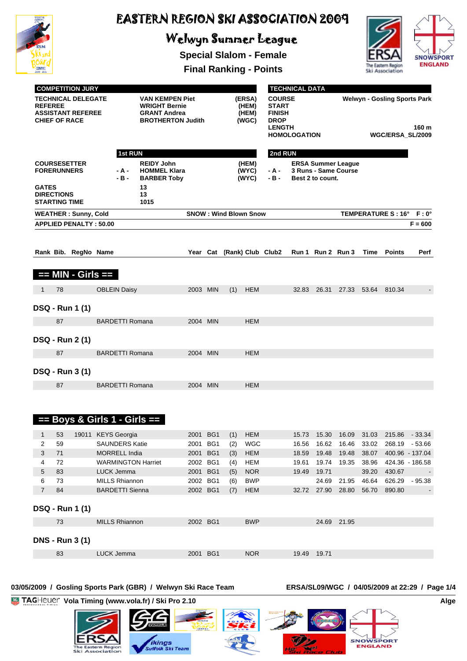

# Welwyn Summer League

**Special Slalom - Female**



**Final Ranking - Points**

| <b>COMPETITION JURY</b> |                                           |                                                       |  |                        |                                                                                            |          |                              |                                   |                                                                                                       | <b>TECHNICAL DATA</b> |                                                                  |                                                   |             |                          |                          |
|-------------------------|-------------------------------------------|-------------------------------------------------------|--|------------------------|--------------------------------------------------------------------------------------------|----------|------------------------------|-----------------------------------|-------------------------------------------------------------------------------------------------------|-----------------------|------------------------------------------------------------------|---------------------------------------------------|-------------|--------------------------|--------------------------|
| <b>REFEREE</b>          | <b>CHIEF OF RACE</b>                      | <b>TECHNICAL DELEGATE</b><br><b>ASSISTANT REFEREE</b> |  |                        | VAN KEMPEN Piet<br><b>WRIGHT Bernie</b><br><b>GRANT Andrea</b><br><b>BROTHERTON Judith</b> |          |                              | (ERSA)<br>(HEM)<br>(HEM)<br>(WGC) | <b>COURSE</b><br><b>START</b><br><b>FINISH</b><br><b>DROP</b><br><b>LENGTH</b><br><b>HOMOLOGATION</b> |                       | <b>Welwyn - Gosling Sports Park</b><br>160 m<br>WGC/ERSA SL/2009 |                                                   |             |                          |                          |
|                         |                                           |                                                       |  | 1st RUN                |                                                                                            |          |                              |                                   | 2nd RUN                                                                                               |                       |                                                                  |                                                   |             |                          |                          |
|                         | <b>COURSESETTER</b><br><b>FORERUNNERS</b> |                                                       |  | - A -<br>$-B -$        | <b>REIDY John</b><br><b>HOMMEL Klara</b><br><b>BARBER Toby</b>                             |          |                              | (HEM)<br>(WYC)<br>(WYC)           | - A -<br>$-B -$                                                                                       |                       | Best 2 to count.                                                 | <b>ERSA Summer League</b><br>3 Runs - Same Course |             |                          |                          |
| <b>GATES</b>            | <b>DIRECTIONS</b><br><b>STARTING TIME</b> |                                                       |  |                        | 13<br>13<br>1015                                                                           |          |                              |                                   |                                                                                                       |                       |                                                                  |                                                   |             |                          |                          |
|                         |                                           | <b>WEATHER: Sunny, Cold</b>                           |  |                        |                                                                                            |          | <b>SNOW: Wind Blown Snow</b> |                                   |                                                                                                       |                       |                                                                  |                                                   |             | TEMPERATURE S: 16° F: 0° |                          |
|                         |                                           | <b>APPLIED PENALTY: 50.00</b>                         |  |                        |                                                                                            |          |                              |                                   |                                                                                                       |                       |                                                                  |                                                   |             |                          | $F = 600$                |
|                         |                                           | Rank Bib. RegNo Name                                  |  |                        |                                                                                            | Year Cat |                              |                                   | (Rank) Club Club2                                                                                     |                       |                                                                  | Run 1 Run 2 Run 3                                 | <b>Time</b> | <b>Points</b>            | Perf                     |
|                         |                                           | == MIN - Girls ==                                     |  |                        |                                                                                            |          |                              |                                   |                                                                                                       |                       |                                                                  |                                                   |             |                          |                          |
| 1                       | 78                                        |                                                       |  | <b>OBLEIN Daisy</b>    |                                                                                            | 2003 MIN | (1)                          | <b>HEM</b>                        |                                                                                                       | 32.83                 | 26.31                                                            | 27.33                                             | 53.64       | 810.34                   | $\overline{\phantom{a}}$ |
|                         |                                           | <b>DSQ - Run 1 (1)</b>                                |  |                        |                                                                                            |          |                              |                                   |                                                                                                       |                       |                                                                  |                                                   |             |                          |                          |
|                         | 87                                        |                                                       |  | <b>BARDETTI Romana</b> |                                                                                            | 2004 MIN |                              | <b>HEM</b>                        |                                                                                                       |                       |                                                                  |                                                   |             |                          |                          |
|                         |                                           | <b>DSQ - Run 2 (1)</b>                                |  |                        |                                                                                            |          |                              |                                   |                                                                                                       |                       |                                                                  |                                                   |             |                          |                          |
|                         | 87                                        |                                                       |  | <b>BARDETTI Romana</b> |                                                                                            | 2004 MIN |                              | <b>HEM</b>                        |                                                                                                       |                       |                                                                  |                                                   |             |                          |                          |
|                         |                                           | <b>DSQ - Run 3 (1)</b>                                |  |                        |                                                                                            |          |                              |                                   |                                                                                                       |                       |                                                                  |                                                   |             |                          |                          |
|                         | 87                                        |                                                       |  | <b>BARDETTI Romana</b> |                                                                                            | 2004 MIN |                              | <b>HEM</b>                        |                                                                                                       |                       |                                                                  |                                                   |             |                          |                          |

|                |    |                        | $==$ Boys & Girls 1 - Girls $==$ |          |                 |     |            |       |       |       |       |                 |          |
|----------------|----|------------------------|----------------------------------|----------|-----------------|-----|------------|-------|-------|-------|-------|-----------------|----------|
|                | 53 | 19011                  | <b>KEYS</b> Georgia              | 2001     | BG <sub>1</sub> | (1) | <b>HEM</b> | 15.73 | 15.30 | 16.09 | 31.03 | 215.86          | $-33.34$ |
| 2              | 59 |                        | <b>SAUNDERS Katie</b>            | 2001     | BG1             | (2) | <b>WGC</b> | 16.56 | 16.62 | 16.46 | 33.02 | 268.19          | $-53.66$ |
| 3              | 71 |                        | <b>MORRELL India</b>             | 2001     | BG <sub>1</sub> | (3) | <b>HEM</b> | 18.59 | 19.48 | 19.48 | 38.07 | 400.96 - 137.04 |          |
| 4              | 72 |                        | <b>WARMINGTON Harriet</b>        | 2002     | BG1             | (4) | <b>HEM</b> | 19.61 | 19.74 | 19.35 | 38.96 | 424.36 - 186.58 |          |
| 5              | 83 |                        | <b>LUCK Jemma</b>                | 2001     | BG <sub>1</sub> | (5) | <b>NOR</b> | 19.49 | 19.71 |       | 39.20 | 430.67          |          |
| 6              | 73 |                        | <b>MILLS Rhiannon</b>            | 2002     | BG1             | (6) | <b>BWP</b> |       | 24.69 | 21.95 | 46.64 | 626.29          | $-95.38$ |
| $\overline{7}$ | 84 |                        | <b>BARDETTI Sienna</b>           | 2002 BG1 |                 | (7) | <b>HEM</b> | 32.72 | 27.90 | 28.80 | 56.70 | 890.80          |          |
|                |    | <b>DSQ - Run 1 (1)</b> |                                  |          |                 |     |            |       |       |       |       |                 |          |
|                | 73 |                        | <b>MILLS Rhiannon</b>            | 2002 BG1 |                 |     | <b>BWP</b> |       | 24.69 | 21.95 |       |                 |          |
|                |    | <b>DNS - Run 3 (1)</b> |                                  |          |                 |     |            |       |       |       |       |                 |          |
|                | 83 |                        | LUCK Jemma                       | 2001     | BG <sub>1</sub> |     | <b>NOR</b> | 19.49 | 19.71 |       |       |                 |          |

#### **03/05/2009 / Gosling Sports Park (GBR) / Welwyn Ski Race Team ERSA/SL09/WGC / 04/05/2009 at 22:29 / Page 1/4**

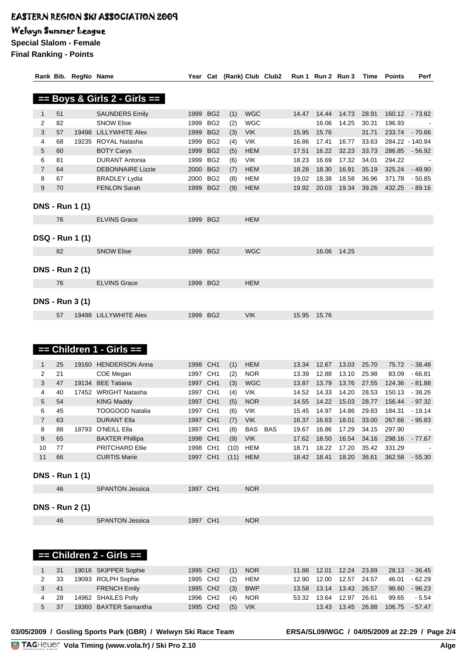### Welwyn Summer League

**Special Slalom - Female Final Ranking - Points**

|                |    | Rank Bib. RegNo Name   |                                  |          |                 | Year Cat (Rank) Club Club2 |            |       | Run 1 Run 2 Run 3 |             | Time  | <b>Points</b> | Perf            |
|----------------|----|------------------------|----------------------------------|----------|-----------------|----------------------------|------------|-------|-------------------|-------------|-------|---------------|-----------------|
|                |    |                        |                                  |          |                 |                            |            |       |                   |             |       |               |                 |
|                |    |                        | $==$ Boys & Girls 2 - Girls $==$ |          |                 |                            |            |       |                   |             |       |               |                 |
| $\mathbf{1}$   | 51 |                        | <b>SAUNDERS Emily</b>            |          | 1999 BG2        | (1)                        | <b>WGC</b> | 14.47 | 14.44             | 14.73       | 28.91 |               | 160.12 - 73.82  |
| 2              | 82 |                        | <b>SNOW Elise</b>                |          | 1999 BG2        | (2)                        | <b>WGC</b> |       | 16.06             | 14.25       | 30.31 | 196.93        |                 |
| 3              | 57 | 19498                  | LILLYWHITE Alex                  |          | 1999 BG2        | (3)                        | <b>VIK</b> | 15.95 | 15.76             |             | 31.71 | 233.74        | $-70.66$        |
| 4              | 68 |                        | 19235 ROYAL Natasha              |          | 1999 BG2        | (4)                        | VIK        | 16.86 | 17.41             | 16.77       | 33.63 |               | 284.22 - 140.94 |
| 5              | 60 |                        | <b>BOTY Carys</b>                | 1999     | BG <sub>2</sub> | (5)                        | <b>HEM</b> | 17.51 | 16.22             | 32.23       | 33.73 | 286.85        | $-56.92$        |
| 6              | 81 |                        | <b>DURANT Antonia</b>            |          | 1999 BG2        | (6)                        | <b>VIK</b> | 18.23 | 16.69             | 17.32       | 34.01 | 294.22        |                 |
| $\overline{7}$ | 64 |                        | <b>DEBONNAIRE Lizzie</b>         | 2000     | BG <sub>2</sub> | (7)                        | <b>HEM</b> | 18.28 | 18.30             | 16.91       | 35.19 | 325.24        | $-49.90$        |
| 8              | 67 |                        | <b>BRADLEY Lydia</b>             |          | 2000 BG2        | (8)                        | <b>HEM</b> | 19.02 | 18.38             | 18.58       | 36.96 | 371.78        | $-50.85$        |
| 9              | 70 |                        | <b>FENLON Sarah</b>              |          | 1999 BG2        | (9)                        | <b>HEM</b> | 19.92 | 20.03             | 19.34       | 39.26 | 432.25        | $-89.16$        |
|                |    |                        |                                  |          |                 |                            |            |       |                   |             |       |               |                 |
|                |    | <b>DNS - Run 1 (1)</b> |                                  |          |                 |                            |            |       |                   |             |       |               |                 |
|                | 76 |                        | <b>ELVINS Grace</b>              |          | 1999 BG2        |                            | <b>HEM</b> |       |                   |             |       |               |                 |
|                |    |                        |                                  |          |                 |                            |            |       |                   |             |       |               |                 |
|                |    | <b>DSQ - Run 1 (1)</b> |                                  |          |                 |                            |            |       |                   |             |       |               |                 |
|                |    |                        |                                  |          |                 |                            |            |       |                   |             |       |               |                 |
|                | 82 |                        | <b>SNOW Elise</b>                | 1999 BG2 |                 |                            | <b>WGC</b> |       |                   | 16.06 14.25 |       |               |                 |
|                |    |                        |                                  |          |                 |                            |            |       |                   |             |       |               |                 |
|                |    | <b>DNS - Run 2 (1)</b> |                                  |          |                 |                            |            |       |                   |             |       |               |                 |
|                | 76 |                        | <b>ELVINS Grace</b>              |          | 1999 BG2        |                            | <b>HEM</b> |       |                   |             |       |               |                 |
|                |    |                        |                                  |          |                 |                            |            |       |                   |             |       |               |                 |
|                |    | <b>DNS - Run 3 (1)</b> |                                  |          |                 |                            |            |       |                   |             |       |               |                 |
|                |    |                        |                                  |          |                 |                            |            |       |                   |             |       |               |                 |
|                | 57 |                        | 19498 LILLYWHITE Alex            |          | 1999 BG2        |                            | <b>VIK</b> | 15.95 | 15.76             |             |       |               |                 |
|                |    |                        |                                  |          |                 |                            |            |       |                   |             |       |               |                 |
|                |    |                        |                                  |          |                 |                            |            |       |                   |             |       |               |                 |
|                |    |                        | $==$ Children 1 - Girls $==$     |          |                 |                            |            |       |                   |             |       |               |                 |
|                |    |                        |                                  |          |                 |                            |            |       |                   |             |       |               |                 |
| $\mathbf{1}$   | 25 |                        | 19160 HENDERSON Anna             | 1998 CH1 |                 | (1)                        | <b>HEM</b> | 13.34 | 12.67             | 13.03       | 25.70 | 75.72         | $-38.48$        |
| $\overline{2}$ | 21 |                        | COE Megan                        | 1997 CH1 |                 | (2)                        | <b>NOR</b> | 13.39 | 12.88             | 13.10       | 25.98 | 83.09         | $-66.81$        |
| 3              | 47 |                        | 19134 BEE Tatiana                | 1997 CH1 |                 | (3)                        | <b>WGC</b> | 13.87 | 13.79             | 13.76       | 27.55 | 124.36        | $-81.88$        |
| 4              | 40 |                        | 17452 WRIGHT Natasha             | 1997 CH1 |                 | (4)                        | <b>VIK</b> | 14.52 | 14.33             | 14.20       | 28.53 | 150.13        | $-38.26$        |
| 5              | 54 |                        | <b>KING Maddy</b>                | 1997 CH1 |                 | (5)                        | <b>NOR</b> | 14.55 | 14.22             | 15.03       | 28.77 | 156.44        | $-97.32$        |
| 6              | 45 |                        | <b>TOOGOOD Natalia</b>           | 1997 CH1 |                 | (6)                        | <b>VIK</b> | 15.45 | 14.97             | 14.86       | 29.83 | 184.31        | $-19.14$        |
| $\overline{7}$ | 63 |                        | <b>DURANT Ella</b>               | 1997 CH1 |                 | (7)                        | <b>VIK</b> | 16.37 | 16.63             | 18.01       | 33.00 | 267.66        | $-95.83$        |
| 8              | 88 |                        | 18793 O'NEILL Ella               | 1997 CH1 |                 | (8)                        | BAS BAS    | 19.67 | 16.86             | 17.29       | 34.15 | 297.90        |                 |
| 9              | 65 |                        | <b>BAXTER Phillipa</b>           | 1998 CH1 |                 | (9)                        | <b>VIK</b> | 17.62 | 18.50             | 16.54       | 34.16 | 298.16        | $-77.67$        |
| 10             | 77 |                        | <b>PRITCHARD Ellie</b>           | 1998 CH1 |                 | (10)                       | <b>HEM</b> | 18.71 | 18.22             | 17.20       | 35.42 | 331.29        |                 |
| 11             | 66 |                        | <b>CURTIS Marie</b>              | 1997 CH1 |                 | (11)                       | <b>HEM</b> | 18.42 | 18.41             | 18.20       | 36.61 | 362.58        | $-55.30$        |
|                |    | <b>DNS - Run 1 (1)</b> |                                  |          |                 |                            |            |       |                   |             |       |               |                 |
|                |    |                        |                                  |          |                 |                            |            |       |                   |             |       |               |                 |

| 46                     | <b>SPANTON Jessica</b> | 1997 CH1 | <b>NOR</b> |
|------------------------|------------------------|----------|------------|
|                        |                        |          |            |
| <b>DNS - Run 2 (1)</b> |                        |          |            |

| 46<br><b>SPANTON Jessica</b><br>NK<br>٦L<br>. |  |  |  |
|-----------------------------------------------|--|--|--|
|                                               |  |  |  |

### **== Children 2 - Girls ==**

|          |      | 1 31 19016 SKIPPER Sophie | 1995 CH2 (1) NOR |            |                            |                            |  | 11.88  12.01  12.24  23.89  28.13  -  36.45 |  |
|----------|------|---------------------------|------------------|------------|----------------------------|----------------------------|--|---------------------------------------------|--|
|          |      | 2 33 19093 ROLPH Sophie   | 1995 CH2 (2) HEM |            | 12.90  12.00  12.57  24.57 |                            |  | 46.01 - 62.29                               |  |
|          |      | 3 41 FRENCH Emily         | 1995 CH2 (3) BWP |            |                            | 13.58  13.14  13.43  26.57 |  | 98.60 - 96.23                               |  |
|          | 4 28 | 14962 SHAILES Polly       | 1996 CH2 (4) NOR |            | 53.32 13.64 12.97 26.61    |                            |  | 99.65 - 5.54                                |  |
| $5 \t37$ |      | 19360 BAXTER Samantha     | 1995 CH2 (5)     | <b>VIK</b> |                            |                            |  | 13.43  13.45  26.88  106.75  - 57.47        |  |
|          |      |                           |                  |            |                            |                            |  |                                             |  |

03/05/2009 / Gosling Sports Park (GBR) / Welwyn Ski Race Team

ERSA/SL09/WGC / 04/05/2009 at 22:29 / Page 2/4<br>Alge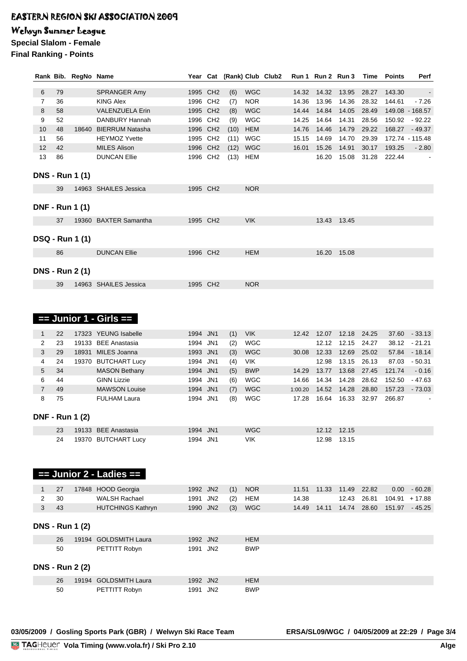### Welwyn Summer League

**Special Slalom - Female**

**Final Ranking - Points**

|                |    | Rank Bib. RegNo Name   |                                                     |          |          |      |            | Year Cat (Rank) Club Club2 |         | Run 1 Run 2 Run 3 |             | Time  | <b>Points</b> | Perf            |
|----------------|----|------------------------|-----------------------------------------------------|----------|----------|------|------------|----------------------------|---------|-------------------|-------------|-------|---------------|-----------------|
| 6              | 79 |                        | SPRANGER Amy                                        | 1995 CH2 |          | (6)  | <b>WGC</b> |                            | 14.32   | 14.32             | 13.95       | 28.27 | 143.30        | $\blacksquare$  |
| $\overline{7}$ | 36 |                        | <b>KING Alex</b>                                    | 1996 CH2 |          | (7)  | <b>NOR</b> |                            | 14.36   | 13.96             | 14.36       | 28.32 | 144.61        | $-7.26$         |
| 8              | 58 |                        | <b>VALENZUELA Erin</b>                              | 1995 CH2 |          | (8)  | <b>WGC</b> |                            | 14.44   | 14.84             | 14.05       | 28.49 |               | 149.08 - 168.57 |
| 9              | 52 |                        | DANBURY Hannah                                      | 1996 CH2 |          | (9)  | <b>WGC</b> |                            | 14.25   | 14.64             | 14.31       | 28.56 | 150.92        | - 92.22         |
| 10             | 48 |                        | 18640 BIERRUM Natasha                               |          | 1996 CH2 | (10) | <b>HEM</b> |                            | 14.76   | 14.46             | 14.79       | 29.22 | 168.27        | $-49.37$        |
| 11             | 56 |                        | <b>HEYMOZ Yvette</b>                                |          | 1995 CH2 | (11) | <b>WGC</b> |                            | 15.15   | 14.69             | 14.70 29.39 |       |               | 172.74 - 115.48 |
| 12             | 42 |                        | <b>MILES Alison</b>                                 | 1996 CH2 |          | (12) | <b>WGC</b> |                            | 16.01   | 15.26             | 14.91       | 30.17 | 193.25        | $-2.80$         |
| 13             | 86 |                        | <b>DUNCAN Ellie</b>                                 |          | 1996 CH2 | (13) | <b>HEM</b> |                            |         | 16.20             | 15.08       | 31.28 | 222.44        |                 |
|                |    | <b>DNS - Run 1 (1)</b> |                                                     |          |          |      |            |                            |         |                   |             |       |               |                 |
|                | 39 |                        | 14963 SHAILES Jessica                               |          | 1995 CH2 |      | <b>NOR</b> |                            |         |                   |             |       |               |                 |
|                |    | <b>DNF - Run 1 (1)</b> |                                                     |          |          |      |            |                            |         |                   |             |       |               |                 |
|                | 37 |                        | 19360 BAXTER Samantha                               |          | 1995 CH2 |      | <b>VIK</b> |                            |         |                   | 13.43 13.45 |       |               |                 |
|                |    | <b>DSQ - Run 1 (1)</b> |                                                     |          |          |      |            |                            |         |                   |             |       |               |                 |
|                | 86 |                        | <b>DUNCAN Ellie</b>                                 |          | 1996 CH2 |      | <b>HEM</b> |                            |         | 16.20             | 15.08       |       |               |                 |
|                |    | <b>DNS - Run 2 (1)</b> |                                                     |          |          |      |            |                            |         |                   |             |       |               |                 |
|                | 39 |                        | 14963 SHAILES Jessica<br>$==$ Junior 1 - Girls $==$ |          | 1995 CH2 |      | <b>NOR</b> |                            |         |                   |             |       |               |                 |
| $\mathbf{1}$   | 22 |                        | 17323 YEUNG Isabelle                                | 1994 JN1 |          | (1)  | <b>VIK</b> |                            |         | 12.42 12.07       | 12.18       | 24.25 |               | 37.60 - 33.13   |
| 2              | 23 |                        | 19133 BEE Anastasia                                 | 1994 JN1 |          | (2)  | <b>WGC</b> |                            |         | 12.12             | 12.15       | 24.27 |               | 38.12 - 21.21   |
| 3              | 29 |                        | 18931 MILES Joanna                                  | 1993 JN1 |          | (3)  | <b>WGC</b> |                            |         | 30.08 12.33       | 12.69       | 25.02 |               | 57.84 - 18.14   |
| 4              | 24 |                        | 19370 BUTCHART Lucy                                 | 1994 JN1 |          | (4)  | <b>VIK</b> |                            |         | 12.98             | 13.15       | 26.13 |               | 87.03 - 50.31   |
| 5              | 34 |                        | <b>MASON Bethany</b>                                | 1994 JN1 |          | (5)  | <b>BWP</b> |                            | 14.29   | 13.77             | 13.68       | 27.45 | 121.74        | $-0.16$         |
| 6              | 44 |                        | <b>GINN Lizzie</b>                                  | 1994 JN1 |          | (6)  | <b>WGC</b> |                            | 14.66   | 14.34             | 14.28       | 28.62 |               | 152.50 - 47.63  |
| $\overline{7}$ | 49 |                        | <b>MAWSON Louise</b>                                | 1994 JN1 |          | (7)  | <b>WGC</b> |                            | 1:00.20 | 14.52             | 14.28       | 28.80 | 157.23        | $-73.03$        |
| 8              | 75 |                        | <b>FULHAM Laura</b>                                 | 1994 JN1 |          | (8)  | <b>WGC</b> |                            | 17.28   | 16.64             | 16.33       | 32.97 | 266.87        |                 |
|                |    | <b>DNF - Run 1 (2)</b> |                                                     |          |          |      |            |                            |         |                   |             |       |               |                 |
|                | 23 |                        | 19133 BEE Anastasia                                 | 1994 JN1 |          |      | <b>WGC</b> |                            |         |                   | 12.12 12.15 |       |               |                 |
|                | 24 |                        | 19370 BUTCHART Lucy                                 | 1994 JN1 |          |      | <b>VIK</b> |                            |         | 12.98             | 13.15       |       |               |                 |
|                |    |                        | == Junior 2 - Ladies ==                             |          |          |      |            |                            |         |                   |             |       |               |                 |

| 27   | 17848 HOOD Georgia       | 1992 JN2 (1) NOR |  |                  |       | 11.51  11.33  11.49  22.82 |  |                                    | $0.00 - 60.28$                              |
|------|--------------------------|------------------|--|------------------|-------|----------------------------|--|------------------------------------|---------------------------------------------|
| 2 30 | WALSH Rachael            | 1991 JN2 (2) HEM |  |                  | 14.38 |                            |  | $12.43$ $26.81$ $104.91$ $+ 17.88$ |                                             |
| 3 43 | <b>HUTCHINGS Kathryn</b> |                  |  | 1990 JN2 (3) WGC |       |                            |  |                                    | 14.49  14.11  14.74  28.60  151.97  - 45.25 |

#### **DNS - Run 1 (2)**

| 26 | 19194 GOLDSMITH Laura | 1992 JN2 | HEM        |
|----|-----------------------|----------|------------|
| 50 | PETTITT Robyn         | 1991 JN2 | <b>BWP</b> |

#### **DNS - Run 2 (2)**

|    | 26 19194 GOLDSMITH Laura | 1992 JN2 | HEM        |
|----|--------------------------|----------|------------|
| 50 | PETTITT Robyn            | 1991 JN2 | <b>BWP</b> |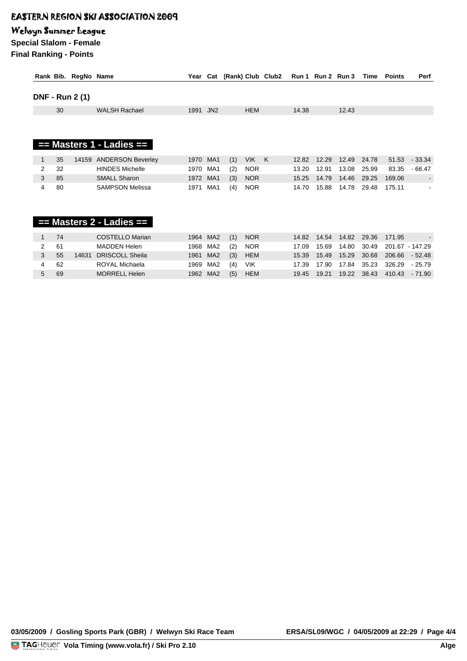### Welwyn Summer League

**Special Slalom - Female Final Ranking - Points**

|   |    | Rank Bib. RegNo Name   |                              | Year     | Cat | (Rank) Club Club2 |          | Run 1 Run 2 Run 3 |       |       | Time  | Points | Perf                     |
|---|----|------------------------|------------------------------|----------|-----|-------------------|----------|-------------------|-------|-------|-------|--------|--------------------------|
|   |    | <b>DNF - Run 2 (1)</b> |                              |          |     |                   |          |                   |       |       |       |        |                          |
|   | 30 |                        | <b>WALSH Rachael</b>         | 1991     | JN2 | <b>HEM</b>        |          | 14.38             |       | 12.43 |       |        |                          |
|   |    |                        |                              |          |     |                   |          |                   |       |       |       |        |                          |
|   |    |                        |                              |          |     |                   |          |                   |       |       |       |        |                          |
|   |    |                        | $==$ Masters 1 - Ladies $==$ |          |     |                   |          |                   |       |       |       |        |                          |
|   |    |                        |                              |          |     |                   |          |                   |       |       |       |        |                          |
|   |    |                        |                              |          |     |                   |          |                   |       |       |       |        |                          |
|   | 35 | 14159                  | <b>ANDERSON Beverley</b>     | 1970     | MA1 | <b>VIK</b><br>(1) | <b>K</b> | 12.82             | 12.29 | 12.49 | 24.78 | 51.53  | $-33.34$                 |
| 2 | 32 |                        | <b>HINDES Michelle</b>       | 1970     | MA1 | <b>NOR</b><br>(2) |          | 13.20             | 12.91 | 13.08 | 25.99 | 83.35  | $-66.47$                 |
| 3 | 85 |                        | <b>SMALL Sharon</b>          | 1972 MA1 |     | <b>NOR</b><br>(3) |          | 15.25             | 14.79 | 14.46 | 29.25 | 169.06 | $\overline{\phantom{a}}$ |

|   |     |       | $=$ Masters 2 - Ladies $=$ |          |     |            |       |              |                     |                       |  |
|---|-----|-------|----------------------------|----------|-----|------------|-------|--------------|---------------------|-----------------------|--|
|   | -74 |       | COSTELLO Marian            | 1964 MA2 | (1) | <b>NOR</b> |       | 14.82  14.54 |                     | 14.82 29.36 171.95    |  |
|   | -61 |       | MADDEN Helen               | 1968 MA2 | (2) | NOR        | 17.09 | 15.69        | 14.80               | 30.49 201.67 - 147.29 |  |
| 3 | 55  | 14631 | <b>DRISCOLL Sheila</b>     | 1961 MA2 | (3) | HEM        |       |              | 15.39  15.49  15.29 | 30.68 206.66 - 52.48  |  |
| 4 | 62  |       | ROYAL Michaela             | 1969 MA2 | (4) | VIK        | 17.39 | 17.90        | 17.84               | 35.23 326.29 - 25.79  |  |
| 5 | 69  |       | <b>MORRELL Helen</b>       | 1962 MA2 | (5) | <b>HEM</b> | 19.45 | 19.21        | 19.22               | 38.43 410.43 - 71.90  |  |

**WEATHER : Sunny, Cold SNOW : Wind Blown Snow TEMPERATURE S : 16° F : 0°**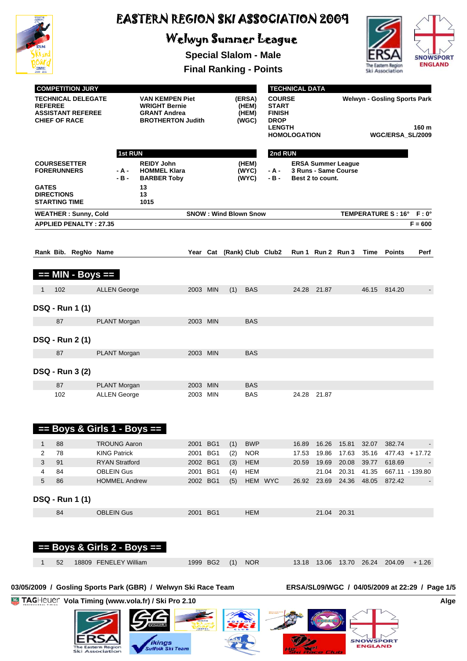

**ERS** 

The Eastern Region<br>Ski Association

*ikings*<br>Suffolk Ski Team

# EASTERN REGION SKI ASSOCIATION 2009

# Welwyn Summer League

**Special Slalom - Male**



**SNOWSPORT** 

De

**Final Ranking - Points**

|              | <b>TECHNICAL DELEGATE</b><br><b>REFEREE</b><br><b>ASSISTANT REFEREE</b><br><b>CHIEF OF RACE</b>                           |                       |                                                                                                                  | <b>VAN KEMPEN Piet</b><br><b>WRIGHT Bernie</b><br><b>GRANT Andrea</b><br><b>BROTHERTON Judith</b> |                      | (ERSA)<br>(HEM)<br>(HEM)<br>(WGC) |                              |                          | <b>COURSE</b><br><b>START</b><br><b>FINISH</b><br><b>DROP</b><br><b>LENGTH</b><br><b>HOMOLOGATION</b> |                |                | <b>Welwyn - Gosling Sports Park</b><br>160 m<br>WGC/ERSA_SL/2009 |                |                                                |                          |
|--------------|---------------------------------------------------------------------------------------------------------------------------|-----------------------|------------------------------------------------------------------------------------------------------------------|---------------------------------------------------------------------------------------------------|----------------------|-----------------------------------|------------------------------|--------------------------|-------------------------------------------------------------------------------------------------------|----------------|----------------|------------------------------------------------------------------|----------------|------------------------------------------------|--------------------------|
| <b>GATES</b> | <b>COURSESETTER</b><br><b>FORERUNNERS</b><br><b>DIRECTIONS</b><br><b>STARTING TIME</b>                                    |                       | 1st RUN<br><b>REIDY John</b><br><b>HOMMEL Klara</b><br>- A -<br>$-B -$<br><b>BARBER Toby</b><br>13<br>13<br>1015 |                                                                                                   |                      | (HEM)<br>(WYC)<br>(WYC)           |                              |                          | 2nd RUN<br>- A -<br>- B -<br>Best 2 to count.                                                         |                |                | <b>ERSA Summer League</b><br>3 Runs - Same Course                |                |                                                |                          |
|              | <b>WEATHER: Sunny, Cold</b>                                                                                               |                       |                                                                                                                  |                                                                                                   |                      |                                   | <b>SNOW: Wind Blown Snow</b> |                          |                                                                                                       |                |                |                                                                  |                | TEMPERATURE S: 16° F: 0°                       |                          |
|              | <b>APPLIED PENALTY: 27.35</b>                                                                                             |                       |                                                                                                                  |                                                                                                   |                      |                                   |                              |                          |                                                                                                       |                |                |                                                                  |                |                                                | $F = 600$                |
|              | Rank Bib. RegNo Name                                                                                                      |                       |                                                                                                                  |                                                                                                   | Year Cat             |                                   |                              |                          | (Rank) Club Club2                                                                                     |                |                | Run 1 Run 2 Run 3                                                | Time           | Points                                         | Perf                     |
|              | == MIN - Boys ==                                                                                                          |                       |                                                                                                                  |                                                                                                   |                      |                                   |                              |                          |                                                                                                       |                |                |                                                                  |                |                                                |                          |
| 1            | 102                                                                                                                       | <b>ALLEN George</b>   |                                                                                                                  |                                                                                                   | 2003 MIN             |                                   | (1)                          | <b>BAS</b>               |                                                                                                       | 24.28          | 21.87          |                                                                  |                | 46.15 814.20                                   | $\overline{\phantom{a}}$ |
|              | <b>DSQ - Run 1 (1)</b>                                                                                                    |                       |                                                                                                                  |                                                                                                   |                      |                                   |                              |                          |                                                                                                       |                |                |                                                                  |                |                                                |                          |
|              | 87                                                                                                                        |                       | PLANT Morgan                                                                                                     |                                                                                                   | 2003 MIN             |                                   |                              | <b>BAS</b>               |                                                                                                       |                |                |                                                                  |                |                                                |                          |
|              |                                                                                                                           |                       |                                                                                                                  |                                                                                                   |                      |                                   |                              |                          |                                                                                                       |                |                |                                                                  |                |                                                |                          |
|              | <b>DSQ - Run 2 (1)</b>                                                                                                    |                       |                                                                                                                  |                                                                                                   |                      |                                   |                              |                          |                                                                                                       |                |                |                                                                  |                |                                                |                          |
|              | 87                                                                                                                        |                       | PLANT Morgan                                                                                                     |                                                                                                   | 2003 MIN             |                                   |                              | <b>BAS</b>               |                                                                                                       |                |                |                                                                  |                |                                                |                          |
|              | <b>DSQ - Run 3 (2)</b>                                                                                                    |                       |                                                                                                                  |                                                                                                   |                      |                                   |                              |                          |                                                                                                       |                |                |                                                                  |                |                                                |                          |
|              | 87<br>102                                                                                                                 |                       | PLANT Morgan                                                                                                     |                                                                                                   | 2003 MIN<br>2003 MIN |                                   |                              | <b>BAS</b><br><b>BAS</b> |                                                                                                       |                | 24.28 21.87    |                                                                  |                |                                                |                          |
|              |                                                                                                                           |                       | <b>ALLEN George</b>                                                                                              |                                                                                                   |                      |                                   |                              |                          |                                                                                                       |                |                |                                                                  |                |                                                |                          |
|              | $==$ Boys & Girls 1 - Boys $==$                                                                                           |                       |                                                                                                                  |                                                                                                   |                      |                                   |                              |                          |                                                                                                       |                |                |                                                                  |                |                                                |                          |
| 1            | 88                                                                                                                        |                       | <b>TROUNG Aaron</b>                                                                                              |                                                                                                   | 2001                 | BG <sub>1</sub>                   | (1)                          | <b>BWP</b>               |                                                                                                       | 16.89          | 16.26          | 15.81                                                            | 32.07          | 382.74                                         |                          |
| 2<br>3       | 78<br>91                                                                                                                  | <b>KING Patrick</b>   | <b>RYAN Stratford</b>                                                                                            |                                                                                                   | 2001 BG1<br>2002 BG1 |                                   | (2)<br>(3)                   | <b>NOR</b><br><b>HEM</b> |                                                                                                       | 17.53<br>20.59 | 19.86<br>19.69 | 17.63<br>20.08                                                   | 35.16<br>39.77 | $477.43 + 17.72$<br>618.69                     |                          |
| 4            | 84                                                                                                                        | <b>OBLEIN Gus</b>     |                                                                                                                  |                                                                                                   | 2001 BG1             |                                   | (4)                          | HEM                      |                                                                                                       |                | 21.04          | 20.31                                                            | 41.35          | 667.11 - 139.80                                |                          |
| 5            | 86                                                                                                                        |                       | <b>HOMMEL Andrew</b>                                                                                             |                                                                                                   | 2002 BG1             |                                   | (5)                          |                          | HEM WYC                                                                                               | 26.92          |                | 23.69 24.36 48.05                                                |                | 872.42                                         |                          |
|              | <b>DSQ - Run 1 (1)</b>                                                                                                    |                       |                                                                                                                  |                                                                                                   |                      |                                   |                              |                          |                                                                                                       |                |                |                                                                  |                |                                                |                          |
|              | 84                                                                                                                        | <b>OBLEIN Gus</b>     |                                                                                                                  |                                                                                                   | 2001 BG1             |                                   |                              | <b>HEM</b>               |                                                                                                       |                |                | 21.04 20.31                                                      |                |                                                |                          |
|              | == Boys & Girls 2 - Boys ==<br>52                                                                                         | 18809 FENELEY William |                                                                                                                  |                                                                                                   | 1999 BG2             |                                   | (1)                          | <b>NOR</b>               |                                                                                                       |                |                |                                                                  |                | 13.18  13.06  13.70  26.24  204.09             | $+1.26$                  |
|              |                                                                                                                           |                       |                                                                                                                  |                                                                                                   |                      |                                   |                              |                          |                                                                                                       |                |                |                                                                  |                |                                                |                          |
|              | 03/05/2009 / Gosling Sports Park (GBR) / Welwyn Ski Race Team<br><b>TAGHeuer</b> Vola Timing (www.vola.fr) / Ski Pro 2.10 |                       |                                                                                                                  |                                                                                                   |                      |                                   |                              |                          |                                                                                                       |                |                |                                                                  |                | ERSA/SL09/WGC / 04/05/2009 at 22:29 / Page 1/5 |                          |
|              |                                                                                                                           |                       |                                                                                                                  |                                                                                                   |                      |                                   |                              |                          |                                                                                                       |                |                |                                                                  |                |                                                |                          |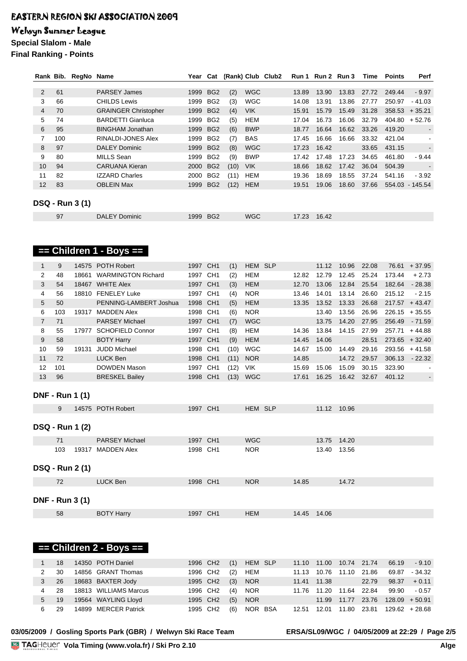**== Children 1 - Boys ==** 

### Welwyn Summer League

**Special Slalom - Male**

**Final Ranking - Points**

|                |     | Rank Bib. RegNo Name   |                             | Year | Cat             |      |            | (Rank) Club Club2 |       | Run 1 Run 2 Run 3 |       | Time  | <b>Points</b> | Perf                     |
|----------------|-----|------------------------|-----------------------------|------|-----------------|------|------------|-------------------|-------|-------------------|-------|-------|---------------|--------------------------|
|                |     |                        |                             |      |                 |      |            |                   |       |                   |       |       |               |                          |
| $\overline{2}$ | 61  |                        | <b>PARSEY James</b>         | 1999 | BG <sub>2</sub> | (2)  | <b>WGC</b> |                   | 13.89 | 13.90             | 13.83 | 27.72 | 249.44        | $-9.97$                  |
| 3              | 66  |                        | <b>CHILDS Lewis</b>         | 1999 | BG <sub>2</sub> | (3)  | <b>WGC</b> |                   | 14.08 | 13.91             | 13.86 | 27.77 | 250.97        | $-41.03$                 |
| 4              | 70  |                        | <b>GRAINGER Christopher</b> | 1999 | BG <sub>2</sub> | (4)  | <b>VIK</b> |                   | 15.91 | 15.79             | 15.49 | 31.28 | 358.53        | $+35.21$                 |
| 5              | 74  |                        | <b>BARDETTI Gianluca</b>    | 1999 | BG <sub>2</sub> | (5)  | HEM        |                   | 17.04 | 16.73             | 16.06 | 32.79 | 404.80        | $+52.76$                 |
| 6              | 95  |                        | <b>BINGHAM Jonathan</b>     | 1999 | BG <sub>2</sub> | (6)  | <b>BWP</b> |                   | 18.77 | 16.64             | 16.62 | 33.26 | 419.20        | $\blacksquare$           |
| 7              | 100 |                        | <b>RINALDI-JONES Alex</b>   | 1999 | BG <sub>2</sub> | (7)  | <b>BAS</b> |                   | 17.45 | 16.66             | 16.66 | 33.32 | 421.04        | $\overline{\phantom{0}}$ |
| 8              | 97  |                        | <b>DALEY Dominic</b>        | 1999 | BG <sub>2</sub> | (8)  | <b>WGC</b> |                   | 17.23 | 16.42             |       | 33.65 | 431.15        |                          |
| 9              | 80  |                        | MILLS Sean                  | 1999 | BG <sub>2</sub> | (9)  | <b>BWP</b> |                   | 17.42 | 17.48             | 17.23 | 34.65 | 461.80        | $-9.44$                  |
| 10             | 94  |                        | <b>CARUANA Kieran</b>       | 2000 | BG <sub>2</sub> | (10) | <b>VIK</b> |                   | 18.66 | 18.62             | 17.42 | 36.04 | 504.39        | $\blacksquare$           |
| 11             | 82  |                        | <b>IZZARD Charles</b>       | 2000 | BG <sub>2</sub> | (11) | <b>HEM</b> |                   | 19.36 | 18.69             | 18.55 | 37.24 | 541.16        | $-3.92$                  |
| 12             | 83  |                        | <b>OBLEIN Max</b>           | 1999 | BG <sub>2</sub> | (12) | <b>HEM</b> |                   | 19.51 | 19.06             | 18.60 | 37.66 |               | 554.03 - 145.54          |
|                |     |                        |                             |      |                 |      |            |                   |       |                   |       |       |               |                          |
|                |     | <b>DSQ - Run 3 (1)</b> |                             |      |                 |      |            |                   |       |                   |       |       |               |                          |
|                | 97  |                        | <b>DALEY Dominic</b>        | 1999 | BG <sub>2</sub> |      | <b>WGC</b> |                   | 17.23 | 16.42             |       |       |               |                          |

|                        |     | .     |                           |          |                 |      |            |       |       |       |       |        |          |
|------------------------|-----|-------|---------------------------|----------|-----------------|------|------------|-------|-------|-------|-------|--------|----------|
| $\mathbf{1}$           | 9   | 14575 | <b>POTH Robert</b>        | 1997 CH1 |                 | (1)  | HEM SLP    |       | 11.12 | 10.96 | 22.08 | 76.61  | $+37.95$ |
| 2                      | 48  | 18661 | <b>WARMINGTON Richard</b> | 1997     | CH <sub>1</sub> | (2)  | <b>HEM</b> | 12.82 | 12.79 | 12.45 | 25.24 | 173.44 | $+2.73$  |
| 3                      | 54  |       | 18467 WHITE Alex          | 1997 CH1 |                 | (3)  | <b>HEM</b> | 12.70 | 13.06 | 12.84 | 25.54 | 182.64 | $-28.38$ |
| 4                      | 56  |       | 18810 FENELEY Luke        | 1997     | CH <sub>1</sub> | (4)  | <b>NOR</b> | 13.46 | 14.01 | 13.14 | 26.60 | 215.12 | $-2.15$  |
| 5                      | 50  |       | PENNING-LAMBERT Joshua    | 1998     | CH <sub>1</sub> | (5)  | <b>HEM</b> | 13.35 | 13.52 | 13.33 | 26.68 | 217.57 | $+43.47$ |
| 6                      | 103 | 19317 | <b>MADDEN Alex</b>        | 1998     | CH <sub>1</sub> | (6)  | <b>NOR</b> |       | 13.40 | 13.56 | 26.96 | 226.15 | $+35.55$ |
| $\overline{7}$         | 71  |       | <b>PARSEY Michael</b>     | 1997     | CH <sub>1</sub> | (7)  | <b>WGC</b> |       | 13.75 | 14.20 | 27.95 | 256.49 | $-71.59$ |
| 8                      | 55  | 17977 | <b>SCHOFIELD Connor</b>   | 1997     | CH <sub>1</sub> | (8)  | <b>HEM</b> | 14.36 | 13.84 | 14.15 | 27.99 | 257.71 | $+44.88$ |
| 9                      | 58  |       | <b>BOTY Harry</b>         | 1997     | CH <sub>1</sub> | (9)  | <b>HEM</b> | 14.45 | 14.06 |       | 28.51 | 273.65 | $+32.40$ |
| 10                     | 59  | 19131 | <b>JUDD Michael</b>       | 1998     | CH <sub>1</sub> | (10) | <b>WGC</b> | 14.67 | 15.00 | 14.49 | 29.16 | 293.56 | $+41.58$ |
| 11                     | 72  |       | <b>LUCK Ben</b>           | 1998     | CH <sub>1</sub> | (11) | <b>NOR</b> | 14.85 |       | 14.72 | 29.57 | 306.13 | $-22.32$ |
| 12                     | 101 |       | <b>DOWDEN Mason</b>       | 1997     | CH <sub>1</sub> | (12) | <b>VIK</b> | 15.69 | 15.06 | 15.09 | 30.15 | 323.90 |          |
| 13                     | 96  |       | <b>BRESKEL Bailey</b>     | 1998     | CH <sub>1</sub> | (13) | <b>WGC</b> | 17.61 | 16.25 | 16.42 | 32.67 | 401.12 |          |
|                        |     |       |                           |          |                 |      |            |       |       |       |       |        |          |
| <b>DNF - Run 1 (1)</b> |     |       |                           |          |                 |      |            |       |       |       |       |        |          |
|                        | 9   |       | 14575 POTH Robert         | 1997 CH1 |                 |      | HEM SLP    |       | 11.12 | 10.96 |       |        |          |
|                        |     |       |                           |          |                 |      |            |       |       |       |       |        |          |
| <b>DSQ - Run 1 (2)</b> |     |       |                           |          |                 |      |            |       |       |       |       |        |          |
|                        |     |       |                           |          |                 |      |            |       |       |       |       |        |          |
|                        | 71  |       | <b>PARSEY Michael</b>     | 1997 CH1 |                 |      | <b>WGC</b> |       | 13.75 | 14.20 |       |        |          |
|                        | 103 | 19317 | <b>MADDEN Alex</b>        | 1998 CH1 |                 |      | <b>NOR</b> |       | 13.40 | 13.56 |       |        |          |
|                        |     |       |                           |          |                 |      |            |       |       |       |       |        |          |
| <b>DSQ - Run 2 (1)</b> |     |       |                           |          |                 |      |            |       |       |       |       |        |          |
|                        | 72  |       | <b>LUCK Ben</b>           | 1998 CH1 |                 |      | <b>NOR</b> | 14.85 |       | 14.72 |       |        |          |
|                        |     |       |                           |          |                 |      |            |       |       |       |       |        |          |

**DNF - Run 3 (1)**

| $=$ Children 2 - Boys $=$ |  |
|---------------------------|--|

|    | 18  | 14350 POTH Daniel     | 1996 CH <sub>2</sub> |     | $(1)$ HEM SLP |             |                            | 11.10  11.00  10.74  21.74 |                                      | 66.19 - 9.10     |
|----|-----|-----------------------|----------------------|-----|---------------|-------------|----------------------------|----------------------------|--------------------------------------|------------------|
|    | 30  | 14856 GRANT Thomas    | 1996 CH2             | (2) | HEM           |             | 11.13 10.76 11.10 21.86    |                            |                                      | 69.87 - 34.32    |
| 3  | 26  | 18683 BAXTER Jody     | 1995 CH2             | (3) | <b>NOR</b>    | 11.41 11.38 |                            | 22.79                      |                                      | $98.37 + 0.11$   |
| 4  | -28 | 18813 WILLIAMS Marcus | 1996 CH2             | (4) | <b>NOR</b>    |             | 11.76  11.20  11.64  22.84 |                            | 99.90                                | - 0.57           |
| 5  | 19  | 19564 WAYLING Lloyd   | 1995 CH2             | (5) | <b>NOR</b>    |             |                            |                            | 11.99  11.77  23.76  128.09  + 50.91 |                  |
| հ․ | 29  | 14899 MERCER Patrick  | 1995 CH2             | (6) | NOR BSA       | 12.51       | 12.01  11.80  23.81        |                            |                                      | $129.62 + 28.68$ |

58 BOTY Harry 1997 CH1 HEM 14.45 14.06

### **03/05/2009 / Gosling Sports Park (GBR) / Welwyn Ski Race Team ERSA/SL09/WGC / 04/05/2009 at 22:29 / Page 2/5**

<u>Volanda va Ser</u>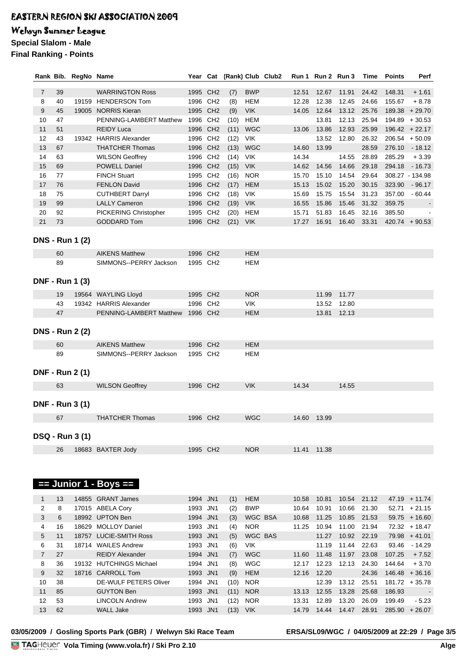### Welwyn Summer League

**Special Slalom - Male**

**Final Ranking - Points**

|                |    | Rank Bib. RegNo Name   |                           |                      | Year Cat (Rank) Club Club2 |            |       | Run 1 Run 2 Run 3 |       | Time  | <b>Points</b> | Perf             |
|----------------|----|------------------------|---------------------------|----------------------|----------------------------|------------|-------|-------------------|-------|-------|---------------|------------------|
| $\overline{7}$ | 39 |                        | <b>WARRINGTON Ross</b>    | 1995 CH2             | (7)                        | <b>BWP</b> | 12.51 | 12.67             | 11.91 | 24.42 | 148.31        | $+1.61$          |
| 8              | 40 |                        | 19159 HENDERSON Tom       | 1996 CH <sub>2</sub> | (8)                        | <b>HEM</b> | 12.28 | 12.38             | 12.45 | 24.66 | 155.67        | $+8.78$          |
| 9              | 45 |                        | 19005 NORRIS Kieran       | 1995 CH2             | (9)                        | <b>VIK</b> | 14.05 | 12.64             | 13.12 | 25.76 |               | $189.38 + 29.70$ |
| 10             | 47 |                        | PENNING-LAMBERT Matthew   | 1996 CH2             | (10)                       | <b>HEM</b> |       | 13.81             | 12.13 | 25.94 |               | $194.89 + 30.53$ |
| 11             | 51 |                        | <b>REIDY Luca</b>         | 1996 CH2             | (11)                       | <b>WGC</b> | 13.06 | 13.86             | 12.93 | 25.99 |               | $196.42 + 22.17$ |
| 12             | 43 |                        | 19342 HARRIS Alexander    | 1996 CH2             | (12)                       | VIK        |       | 13.52             | 12.80 | 26.32 |               | $206.54 + 50.09$ |
| 13             | 67 |                        | <b>THATCHER Thomas</b>    | 1996 CH2             | (13)                       | <b>WGC</b> | 14.60 | 13.99             |       | 28.59 | 276.10        | $-18.12$         |
| 14             | 63 |                        | <b>WILSON Geoffrey</b>    | 1996 CH2             | (14)                       | <b>VIK</b> | 14.34 |                   | 14.55 | 28.89 | 285.29        | $+3.39$          |
| 15             | 69 |                        | POWELL Daniel             | 1996 CH2             | (15)                       | <b>VIK</b> | 14.62 | 14.56             | 14.66 | 29.18 | 294.18        | $-16.73$         |
| 16             | 77 |                        | <b>FINCH Stuart</b>       | 1995 CH2             | (16)                       | <b>NOR</b> | 15.70 | 15.10             | 14.54 | 29.64 |               | 308.27 - 134.98  |
| 17             | 76 |                        | <b>FENLON David</b>       | 1996 CH2             | (17)                       | <b>HEM</b> | 15.13 | 15.02             | 15.20 | 30.15 | 323.90        | $-96.17$         |
| 18             | 75 |                        | <b>CUTHBERT Darryl</b>    | 1996 CH2             | (18)                       | <b>VIK</b> | 15.69 | 15.75             | 15.54 | 31.23 | 357.00        | $-60.44$         |
| 19             | 99 |                        | <b>LALLY Cameron</b>      | 1996 CH2             | (19)                       | <b>VIK</b> | 16.55 | 15.86             | 15.46 | 31.32 | 359.75        |                  |
| 20             | 92 |                        | PICKERING Christopher     | 1995 CH2             | (20)                       | <b>HEM</b> | 15.71 | 51.83             | 16.45 | 32.16 | 385.50        |                  |
| 21             | 73 |                        | <b>GODDARD Tom</b>        | 1996 CH2             | (21)                       | <b>VIK</b> | 17.27 | 16.91             | 16.40 | 33.31 |               | $420.74 + 90.53$ |
|                |    |                        |                           |                      |                            |            |       |                   |       |       |               |                  |
|                |    | <b>DNS - Run 1 (2)</b> |                           |                      |                            |            |       |                   |       |       |               |                  |
|                | 60 |                        | <b>AIKENS Matthew</b>     | 1996 CH2             |                            | <b>HEM</b> |       |                   |       |       |               |                  |
|                | 89 |                        | SIMMONS--PERRY Jackson    | 1995 CH2             |                            | <b>HEM</b> |       |                   |       |       |               |                  |
|                |    |                        |                           |                      |                            |            |       |                   |       |       |               |                  |
|                |    | <b>DNF - Run 1 (3)</b> |                           |                      |                            |            |       |                   |       |       |               |                  |
|                |    |                        |                           |                      |                            |            |       |                   |       |       |               |                  |
|                | 19 |                        | 19564 WAYLING Lloyd       | 1995 CH2             |                            | <b>NOR</b> |       | 11.99             | 11.77 |       |               |                  |
|                | 43 |                        | 19342 HARRIS Alexander    | 1996 CH2             |                            | <b>VIK</b> |       | 13.52             | 12.80 |       |               |                  |
|                | 47 |                        | PENNING-LAMBERT Matthew   | 1996 CH2             |                            | <b>HEM</b> |       | 13.81             | 12.13 |       |               |                  |
|                |    |                        |                           |                      |                            |            |       |                   |       |       |               |                  |
|                |    | <b>DNS - Run 2 (2)</b> |                           |                      |                            |            |       |                   |       |       |               |                  |
|                | 60 |                        | <b>AIKENS Matthew</b>     | 1996 CH2             |                            | <b>HEM</b> |       |                   |       |       |               |                  |
|                | 89 |                        | SIMMONS--PERRY Jackson    | 1995 CH2             |                            | <b>HEM</b> |       |                   |       |       |               |                  |
|                |    |                        |                           |                      |                            |            |       |                   |       |       |               |                  |
|                |    | <b>DNF - Run 2 (1)</b> |                           |                      |                            |            |       |                   |       |       |               |                  |
|                | 63 |                        | <b>WILSON Geoffrey</b>    | 1996 CH2             |                            | <b>VIK</b> | 14.34 |                   | 14.55 |       |               |                  |
|                |    |                        |                           |                      |                            |            |       |                   |       |       |               |                  |
|                |    | <b>DNF - Run 3 (1)</b> |                           |                      |                            |            |       |                   |       |       |               |                  |
|                | 67 |                        | <b>THATCHER Thomas</b>    | 1996 CH2             |                            | <b>WGC</b> |       | 14.60 13.99       |       |       |               |                  |
|                |    |                        |                           |                      |                            |            |       |                   |       |       |               |                  |
|                |    | <b>DSQ - Run 3 (1)</b> |                           |                      |                            |            |       |                   |       |       |               |                  |
|                |    |                        |                           |                      |                            |            |       |                   |       |       |               |                  |
|                | 26 |                        | 18683 BAXTER Jody         | 1995 CH2             |                            | <b>NOR</b> | 11.41 | 11.38             |       |       |               |                  |
|                |    |                        |                           |                      |                            |            |       |                   |       |       |               |                  |
|                |    |                        |                           |                      |                            |            |       |                   |       |       |               |                  |
|                |    |                        | $==$ Junior 1 - Boys $==$ |                      |                            |            |       |                   |       |       |               |                  |
|                |    |                        |                           |                      |                            |            |       |                   |       |       |               |                  |
| $\mathbf{1}$   | 13 |                        | 14855 GRANT James         | 1994 JN1             | (1)                        | <b>HEM</b> | 10.58 | 10.81             | 10.54 | 21.12 |               | $47.19 + 11.74$  |
| 2              | 8  |                        | 17015 ABELA Cory          | 1993 JN1             | (2)                        | <b>BWP</b> | 10.64 | 10.91             | 10.66 | 21.30 |               | $52.71 + 21.15$  |
| 3              | 6  |                        | 18992 UPTON Ben           | 1994 JN1             | (3)                        | WGC BSA    | 10.68 | 11.25             | 10.85 | 21.53 |               | $59.75 + 16.60$  |
| 4              | 16 |                        | 18629 MOLLOY Daniel       | 1993 JN1             | (4)                        | <b>NOR</b> | 11.25 | 10.94             | 11.00 | 21.94 |               | $72.32 + 18.47$  |
| 5              | 11 |                        | 18757 LUCIE-SMITH Ross    | 1993 JN1             | (5)                        | WGC BAS    |       | 11.27             | 10.92 | 22.19 |               | $79.98 + 41.01$  |
| 6              | 31 |                        | 18714 WAILES Andrew       | 1993 JN1             | (6)                        | VIK        |       | 11.19             | 11.44 | 22.63 | 93.46         | $-14.29$         |
| $\overline{7}$ | 27 |                        | <b>REIDY Alexander</b>    | 1994 JN1             | (7)                        | <b>WGC</b> | 11.60 | 11.48             | 11.97 | 23.08 | 107.25        | $+7.52$          |
| 8              | 36 |                        | 19132 HUTCHINGS Michael   | 1994 JN1             | (8)                        | <b>WGC</b> | 12.17 | 12.23             | 12.13 | 24.30 | 144.64        | $+3.70$          |
| 9              | 32 |                        | 18716 CARROLL Tom         | 1993 JN1             | (9)                        | <b>HEM</b> | 12.16 | 12.20             |       | 24.36 |               | $146.48 + 36.16$ |
| 10             | 38 |                        | DE-WULF PETERS Oliver     | 1994 JN1             | (10)                       | <b>NOR</b> |       | 12.39             | 13.12 | 25.51 |               | $181.72 + 35.78$ |
| 11             | 85 |                        | <b>GUYTON Ben</b>         | 1993 JN1             | (11)                       | <b>NOR</b> | 13.13 | 12.55             | 13.28 | 25.68 | 186.93        |                  |
| 12             | 53 |                        | <b>LINCOLN Andrew</b>     | 1993 JN1             | (12)                       | <b>NOR</b> | 13.31 | 12.89             | 13.20 | 26.09 | 199.49        | $-5.23$          |
| 13             | 62 |                        | <b>WALL Jake</b>          | 1993 JN1             | $(13)$ VIK                 |            | 14.79 | 14.44             | 14.47 | 28.91 |               | $285.90 + 26.07$ |
|                |    |                        |                           |                      |                            |            |       |                   |       |       |               |                  |

**03/05/2009 / Gosling Sports Park (GBR) / Welwyn Ski Race Team ERSA/SL09/WGC / 04/05/2009 at 22:29 / Page 3/5**

<u>Volanda va Ser</u>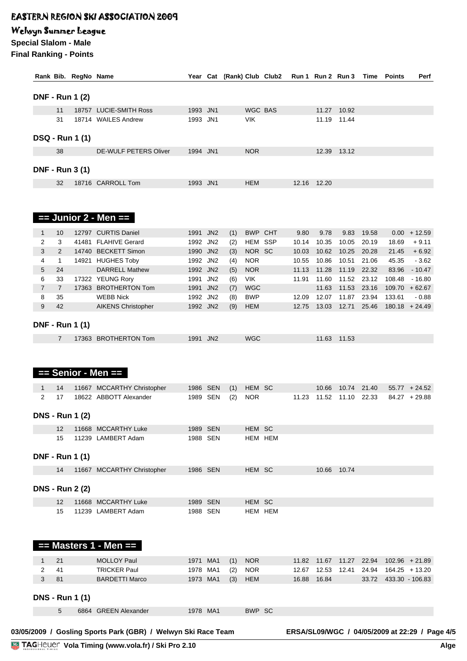### Welwyn Summer League

**Special Slalom - Male Final Ranking - Points**

|                     |                   | Rank Bib. RegNo Name   |                                          |                      |          |            |                          | Year Cat (Rank) Club Club2 |                | Run 1 Run 2 Run 3 |                            | Time           | <b>Points</b> | Perf                        |
|---------------------|-------------------|------------------------|------------------------------------------|----------------------|----------|------------|--------------------------|----------------------------|----------------|-------------------|----------------------------|----------------|---------------|-----------------------------|
|                     |                   |                        |                                          |                      |          |            |                          |                            |                |                   |                            |                |               |                             |
|                     |                   | <b>DNF - Run 1 (2)</b> |                                          |                      |          |            |                          |                            |                |                   |                            |                |               |                             |
|                     | 11                |                        | 18757 LUCIE-SMITH Ross                   | 1993 JN1             |          |            | WGC BAS                  |                            |                |                   | 11.27 10.92                |                |               |                             |
|                     | 31                |                        | 18714 WAILES Andrew                      | 1993 JN1             |          |            | <b>VIK</b>               |                            |                |                   | 11.19 11.44                |                |               |                             |
|                     |                   |                        |                                          |                      |          |            |                          |                            |                |                   |                            |                |               |                             |
|                     |                   | <b>DSQ - Run 1 (1)</b> |                                          |                      |          |            |                          |                            |                |                   |                            |                |               |                             |
|                     | 38                |                        | DE-WULF PETERS Oliver                    | 1994 JN1             |          |            | <b>NOR</b>               |                            |                |                   | 12.39 13.12                |                |               |                             |
|                     |                   |                        |                                          |                      |          |            |                          |                            |                |                   |                            |                |               |                             |
|                     |                   | <b>DNF - Run 3 (1)</b> |                                          |                      |          |            |                          |                            |                |                   |                            |                |               |                             |
|                     | 32                |                        | 18716 CARROLL Tom                        | 1993 JN1             |          |            | <b>HEM</b>               |                            |                | 12.16 12.20       |                            |                |               |                             |
|                     |                   |                        |                                          |                      |          |            |                          |                            |                |                   |                            |                |               |                             |
|                     |                   |                        |                                          |                      |          |            |                          |                            |                |                   |                            |                |               |                             |
|                     |                   |                        |                                          |                      |          |            |                          |                            |                |                   |                            |                |               |                             |
|                     |                   |                        | $==$ Junior 2 - Men $==$                 |                      |          |            |                          |                            |                |                   |                            |                |               |                             |
| $\mathbf{1}$        | 10                |                        | 12797 CURTIS Daniel                      | 1991 JN2             |          | (1)        | BWP CHT                  |                            | 9.80           | 9.78              | 9.83                       | 19.58          |               | $0.00 + 12.59$              |
| 2                   | 3                 |                        | 41481 FLAHIVE Gerard                     | 1992 JN2             |          | (2)        | HEM SSP                  |                            | 10.14          | 10.35             | 10.05                      | 20.19          | 18.69         | $+9.11$                     |
| 3                   | 2                 |                        | 14740 BECKETT Simon                      | 1990 JN2             |          | (3)        | NOR SC                   |                            | 10.03          | 10.62             | 10.25                      | 20.28          | 21.45         | $+6.92$                     |
| 4                   | $\mathbf{1}$      |                        | 14921 HUGHES Toby                        | 1992 JN2             |          | (4)        | <b>NOR</b>               |                            | 10.55          | 10.86             | 10.51                      | 21.06          | 45.35         | $-3.62$                     |
| 5                   | 24                |                        | <b>DARRELL Mathew</b>                    | 1992 JN2             |          | (5)        | <b>NOR</b>               |                            | 11.13          | 11.28             | 11.19                      | 22.32          | 83.96         | $-10.47$                    |
| 6                   | 33                |                        | 17322 YEUNG Rory                         | 1991 JN2             |          | (6)        | VIK                      |                            | 11.91          | 11.60             | 11.52                      | 23.12          | 108.48        | - 16.80                     |
| $\overline{7}$<br>8 | $\overline{7}$    |                        | 17363 BROTHERTON Tom<br><b>WEBB Nick</b> | 1991 JN2             |          | (7)        | <b>WGC</b><br><b>BWP</b> |                            |                | 11.63             | 11.53                      | 23.16          |               | $109.70 + 62.67$            |
| 9                   | 35<br>42          |                        | <b>AIKENS Christopher</b>                | 1992 JN2<br>1992 JN2 |          | (8)<br>(9) | <b>HEM</b>               |                            | 12.09<br>12.75 | 12.07             | 11.87<br>13.03 12.71       | 23.94<br>25.46 | 133.61        | $-0.88$<br>$180.18 + 24.49$ |
|                     |                   |                        |                                          |                      |          |            |                          |                            |                |                   |                            |                |               |                             |
|                     |                   | <b>DNF - Run 1 (1)</b> |                                          |                      |          |            |                          |                            |                |                   |                            |                |               |                             |
|                     | $\overline{7}$    |                        | 17363 BROTHERTON Tom                     | 1991 JN2             |          |            | <b>WGC</b>               |                            |                |                   | 11.63 11.53                |                |               |                             |
|                     |                   |                        |                                          |                      |          |            |                          |                            |                |                   |                            |                |               |                             |
|                     |                   |                        |                                          |                      |          |            |                          |                            |                |                   |                            |                |               |                             |
|                     |                   |                        |                                          |                      |          |            |                          |                            |                |                   |                            |                |               |                             |
|                     |                   |                        | $==$ Senior - Men $==$                   |                      |          |            |                          |                            |                |                   |                            |                |               |                             |
| $\mathbf{1}$        | 14                |                        | 11667 MCCARTHY Christopher               |                      | 1986 SEN | (1)        | HEM SC                   |                            |                | 10.66             | 10.74 21.40                |                |               | $55.77 + 24.52$             |
| 2                   | 17                |                        | 18622 ABBOTT Alexander                   |                      | 1989 SEN | (2)        | <b>NOR</b>               |                            |                |                   | 11.23  11.52  11.10  22.33 |                |               | $84.27 + 29.88$             |
|                     |                   |                        |                                          |                      |          |            |                          |                            |                |                   |                            |                |               |                             |
|                     |                   | <b>DNS - Run 1 (2)</b> |                                          |                      |          |            |                          |                            |                |                   |                            |                |               |                             |
|                     | $12 \overline{ }$ |                        | 11668 MCCARTHY Luke                      |                      | 1989 SEN |            | HEM SC                   |                            |                |                   |                            |                |               |                             |
|                     | 15                |                        | 11239 LAMBERT Adam                       |                      | 1988 SEN |            |                          | HEM HEM                    |                |                   |                            |                |               |                             |
|                     |                   |                        |                                          |                      |          |            |                          |                            |                |                   |                            |                |               |                             |
|                     |                   | <b>DNF - Run 1 (1)</b> |                                          |                      |          |            |                          |                            |                |                   |                            |                |               |                             |
|                     | 14                |                        | 11667 MCCARTHY Christopher               |                      | 1986 SEN |            | HEM SC                   |                            |                |                   | 10.66 10.74                |                |               |                             |
|                     |                   |                        |                                          |                      |          |            |                          |                            |                |                   |                            |                |               |                             |
|                     |                   | <b>DNS - Run 2 (2)</b> |                                          |                      |          |            |                          |                            |                |                   |                            |                |               |                             |
|                     | 12                |                        | 11668 MCCARTHY Luke                      |                      | 1989 SEN |            | HEM SC                   |                            |                |                   |                            |                |               |                             |
|                     | 15                |                        | 11239 LAMBERT Adam                       |                      | 1988 SEN |            |                          | HEM HEM                    |                |                   |                            |                |               |                             |
|                     |                   |                        |                                          |                      |          |            |                          |                            |                |                   |                            |                |               |                             |
|                     |                   |                        |                                          |                      |          |            |                          |                            |                |                   |                            |                |               |                             |
|                     |                   |                        |                                          |                      |          |            |                          |                            |                |                   |                            |                |               |                             |
|                     |                   |                        | $==$ Masters 1 - Men $==$                |                      |          |            |                          |                            |                |                   |                            |                |               |                             |
| $\mathbf{1}$        | 21                |                        | <b>MOLLOY Paul</b>                       |                      | 1971 MA1 | (1)        | <b>NOR</b>               |                            |                |                   | 11.82  11.67  11.27        | 22.94          |               | $102.96 + 21.89$            |
| $\overline{2}$      | 41                |                        | <b>TRICKER Paul</b>                      |                      | 1978 MA1 | (2)        | <b>NOR</b>               |                            | 12.67          | 12.53             | 12.41                      | 24.94          |               | $164.25 + 13.20$            |
| 3                   | 81                |                        | <b>BARDETTI Marco</b>                    |                      | 1973 MA1 | (3)        | <b>HEM</b>               |                            |                | 16.88 16.84       |                            | 33.72          |               | 433.30 - 106.83             |
|                     |                   |                        |                                          |                      |          |            |                          |                            |                |                   |                            |                |               |                             |
|                     |                   | <b>DNS - Run 1 (1)</b> |                                          |                      |          |            |                          |                            |                |                   |                            |                |               |                             |
|                     | 5                 |                        | 6864 GREEN Alexander                     |                      | 1978 MA1 |            | BWP SC                   |                            |                |                   |                            |                |               |                             |
|                     |                   |                        |                                          |                      |          |            |                          |                            |                |                   |                            |                |               |                             |